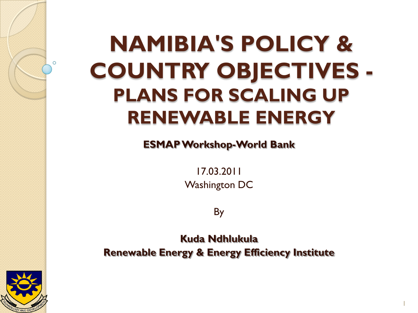### **NAMIBIA'S POLICY & COUNTRY OBJECTIVES - PLANS FOR SCALING UP RENEWABLE ENERGY**

**ESMAP Workshop-World Bank**

17.03.2011 Washington DC

By

**Kuda Ndhlukula Renewable Energy & Energy Efficiency Institute**

1



 $\Omega$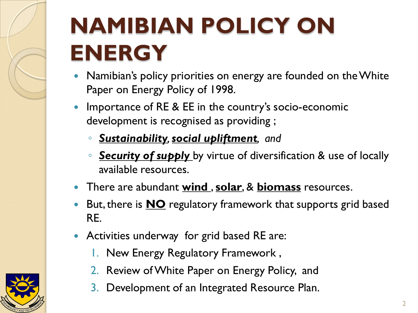### **NAMIBIAN POLICY ON ENERGY**

- Namibian's policy priorities on energy are founded on the White Paper on Energy Policy of 1998.
- Importance of RE & EE in the country's socio-economic development is recognised as providing ;
	- *Sustainability, social upliftment, and*
	- **Security of supply** by virtue of diversification & use of locally available resources.
- There are abundant **wind** , **solar**, & **biomass** resources.
- But, there is **NO** regulatory framework that supports grid based RE.
- Activities underway for grid based RE are:
	- 1. New Energy Regulatory Framework ,
	- 2. Review of White Paper on Energy Policy, and
	- 3. Development of an Integrated Resource Plan.

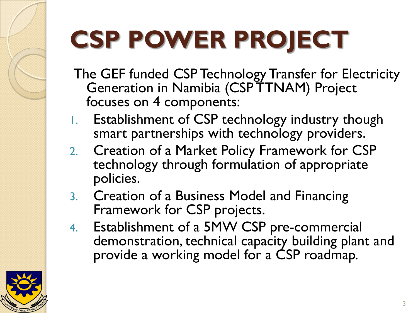# **CSP POWER PROJECT**

- The GEF funded CSP Technology Transfer for Electricity Generation in Namibia (CSPTTNAM) Project focuses on 4 components:
- 1. Establishment of CSP technology industry though smart partnerships with technology providers.
- 2. Creation of a Market Policy Framework for CSP technology through formulation of appropriate policies.
- 3. Creation of a Business Model and Financing Framework for CSP projects.
- 4. Establishment of a 5MW CSP pre-commercial demonstration, technical capacity building plant and provide a working model for a CSP roadmap.

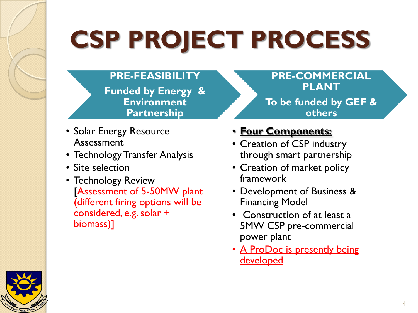## **CSP PROJECT PROCESS**

#### **PRE-FEASIBILITY**

**Funded by Energy & Environment Partnership**

- Solar Energy Resource Assessment
- Technology Transfer Analysis
- Site selection
- Technology Review [Assessment of 5-50MW plant (different firing options will be considered, e.g. solar + biomass)]

#### **PRE-COMMERCIAL PLANT**

**To be funded by GEF & others**

#### • **Four Components:**

- Creation of CSP industry through smart partnership
- Creation of market policy framework
- Development of Business & Financing Model
- Construction of at least a 5MW CSP pre-commercial power plant
- A ProDoc is presently being developed